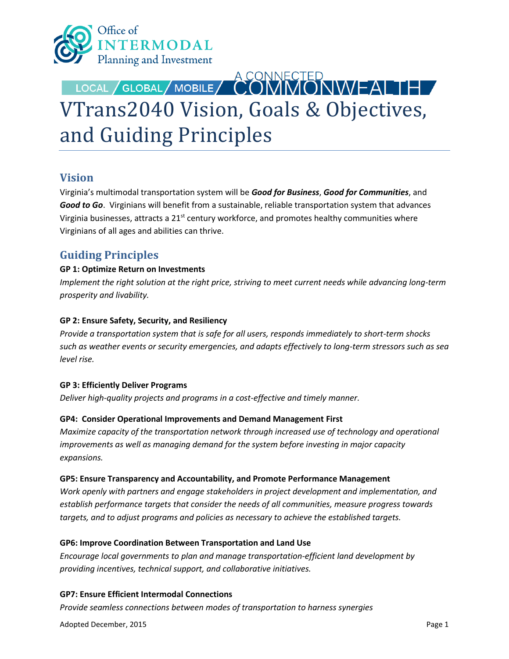

# LOCAL / GLOBAL/ MOBILE/ CONNECTED VTrans2040 Vision, Goals & Objectives, and Guiding Principles

## **Vision**

Virginia's multimodal transportation system will be *Good for Business*, *Good for Communities*, and *Good to Go*. Virginians will benefit from a sustainable, reliable transportation system that advances Virginia businesses, attracts a 21<sup>st</sup> century workforce, and promotes healthy communities where Virginians of all ages and abilities can thrive.

## **Guiding Principles**

#### **GP 1: Optimize Return on Investments**

*Implement the right solution at the right price, striving to meet current needs while advancing long-term prosperity and livability.* 

#### **GP 2: Ensure Safety, Security, and Resiliency**

*Provide a transportation system that is safe for all users, responds immediately to short-term shocks such as weather events or security emergencies, and adapts effectively to long-term stressors such as sea level rise.* 

#### **GP 3: Efficiently Deliver Programs**

*Deliver high-quality projects and programs in a cost-effective and timely manner.*

#### **GP4: Consider Operational Improvements and Demand Management First**

*Maximize capacity of the transportation network through increased use of technology and operational improvements as well as managing demand for the system before investing in major capacity expansions.*

#### **GP5: Ensure Transparency and Accountability, and Promote Performance Management**

*Work openly with partners and engage stakeholders in project development and implementation, and establish performance targets that consider the needs of all communities, measure progress towards targets, and to adjust programs and policies as necessary to achieve the established targets.* 

#### **GP6: Improve Coordination Between Transportation and Land Use**

*Encourage local governments to plan and manage transportation-efficient land development by providing incentives, technical support, and collaborative initiatives.* 

**GP7: Ensure Efficient Intermodal Connections**

*Provide seamless connections between modes of transportation to harness synergies* 

Adopted December, 2015 **Page 1**